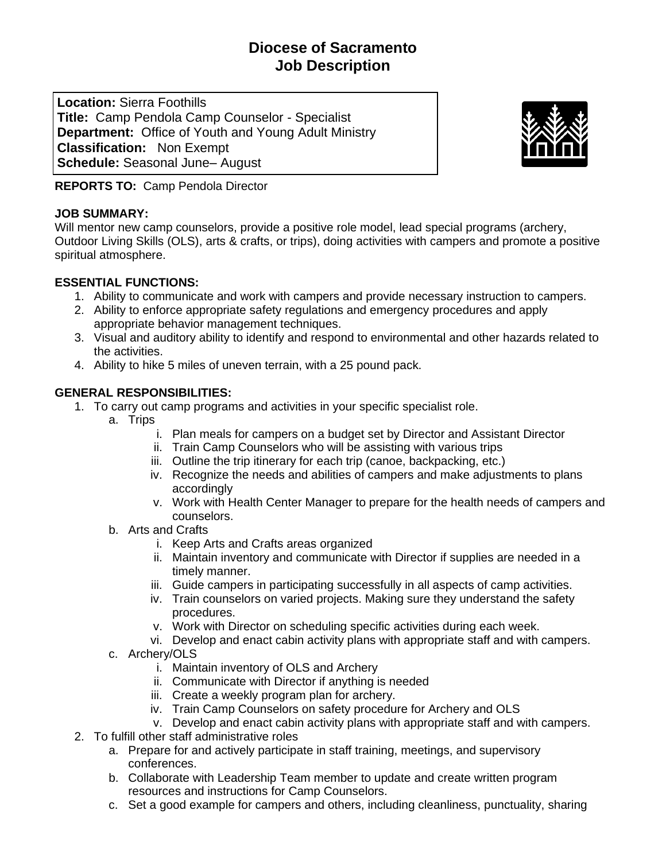# **Diocese of Sacramento Job Description**

**Location:** Sierra Foothills **Title:** Camp Pendola Camp Counselor - Specialist **Department:** Office of Youth and Young Adult Ministry **Classification:** Non Exempt **Schedule:** Seasonal June– August



**REPORTS TO:** Camp Pendola Director

#### **JOB SUMMARY:**

Will mentor new camp counselors, provide a positive role model, lead special programs (archery, Outdoor Living Skills (OLS), arts & crafts, or trips), doing activities with campers and promote a positive spiritual atmosphere.

## **ESSENTIAL FUNCTIONS:**

- 1. Ability to communicate and work with campers and provide necessary instruction to campers.
- 2. Ability to enforce appropriate safety regulations and emergency procedures and apply appropriate behavior management techniques.
- 3. Visual and auditory ability to identify and respond to environmental and other hazards related to the activities.
- 4. Ability to hike 5 miles of uneven terrain, with a 25 pound pack.

## **GENERAL RESPONSIBILITIES:**

- 1. To carry out camp programs and activities in your specific specialist role.
	- a. Trips
		- i. Plan meals for campers on a budget set by Director and Assistant Director
		- ii. Train Camp Counselors who will be assisting with various trips
		- iii. Outline the trip itinerary for each trip (canoe, backpacking, etc.)
		- iv. Recognize the needs and abilities of campers and make adjustments to plans accordingly
		- v. Work with Health Center Manager to prepare for the health needs of campers and counselors.
	- b. Arts and Crafts
		- i. Keep Arts and Crafts areas organized
		- ii. Maintain inventory and communicate with Director if supplies are needed in a timely manner.
		- iii. Guide campers in participating successfully in all aspects of camp activities.
		- iv. Train counselors on varied projects. Making sure they understand the safety procedures.
		- v. Work with Director on scheduling specific activities during each week.
		- vi. Develop and enact cabin activity plans with appropriate staff and with campers.
	- c. Archery/OLS
		- i. Maintain inventory of OLS and Archery
		- ii. Communicate with Director if anything is needed
		- iii. Create a weekly program plan for archery.
		- iv. Train Camp Counselors on safety procedure for Archery and OLS
		- v. Develop and enact cabin activity plans with appropriate staff and with campers.
- 2. To fulfill other staff administrative roles
	- a. Prepare for and actively participate in staff training, meetings, and supervisory conferences.
	- b. Collaborate with Leadership Team member to update and create written program resources and instructions for Camp Counselors.
	- c. Set a good example for campers and others, including cleanliness, punctuality, sharing